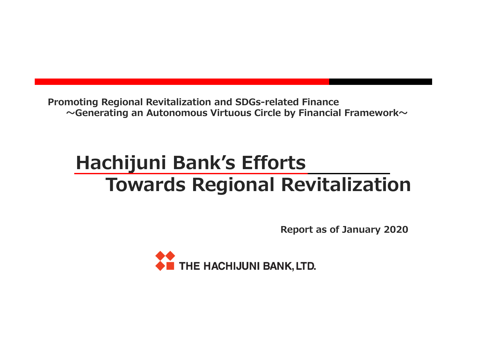**Promoting Regional Revitalization and SDGs-related Finance〜Generating an Autonomous Virtuous Circle by Financial Framework〜**

# **Hachijuni Bank's EffortsTowards Regional Revitalization**

**Report as of January 2020**

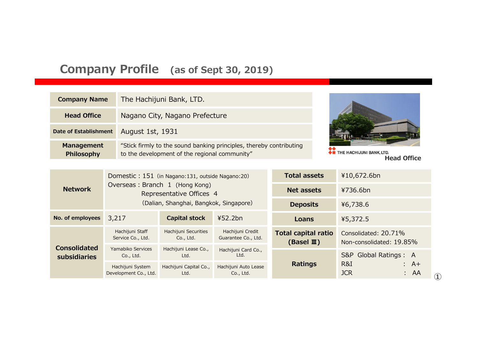## **Company Profile (as of Sept 30, 2019)**

| <b>Company Name</b>                    | The Hachijuni Bank, LTD.                                                                                             |                                                |
|----------------------------------------|----------------------------------------------------------------------------------------------------------------------|------------------------------------------------|
| <b>Head Office</b>                     | Nagano City, Nagano Prefecture                                                                                       |                                                |
| <b>Date of Establishment</b>           | August 1st, 1931                                                                                                     |                                                |
| <b>Management</b><br><b>Philosophy</b> | "Stick firmly to the sound banking principles, thereby contributing<br>to the development of the regional community" | THE HACHIJUNI BANK, LTD.<br><b>Head Office</b> |

|                                            | Domestic: 151 (in Nagano: 131, outside Nagano: 20)         |                                                                              | <b>Total assets</b>               | ¥10,672.6bn                                         |                                                  |
|--------------------------------------------|------------------------------------------------------------|------------------------------------------------------------------------------|-----------------------------------|-----------------------------------------------------|--------------------------------------------------|
| <b>Network</b>                             | Overseas: Branch 1 (Hong Kong)<br>Representative Offices 4 |                                                                              |                                   | <b>Net assets</b>                                   | ¥736.6bn                                         |
|                                            | (Dalian, Shanghai, Bangkok, Singapore)                     |                                                                              |                                   | <b>Deposits</b>                                     | ¥6,738.6                                         |
| No. of employees                           | 3,217                                                      | 452.2bn<br><b>Capital stock</b>                                              |                                   | Loans                                               | ¥5,372.5                                         |
| <b>Consolidated</b><br><b>subsidiaries</b> | Hachijuni Staff<br>Service Co., Ltd.                       | Hachijuni Securities<br>Hachijuni Credit<br>Guarantee Co., Ltd.<br>Co., Ltd. |                                   | <b>Total capital ratio</b><br>(Basel $\mathbb{I}$ ) | Consolidated: 20.71%<br>Non-consolidated: 19.85% |
|                                            | Yamabiko Services<br>Co., Ltd.                             | Hachijuni Lease Co.,<br>Ltd.                                                 | Hachijuni Card Co.,<br>Ltd.       |                                                     | Global Ratings: A<br>S&P                         |
|                                            | Hachijuni System<br>Development Co., Ltd.                  | Hachijuni Capital Co.,<br>Ltd.                                               | Hachijuni Auto Lease<br>Co., Ltd. | <b>Ratings</b>                                      | R&I<br>: A+<br><b>JCR</b><br>: AA                |

**①**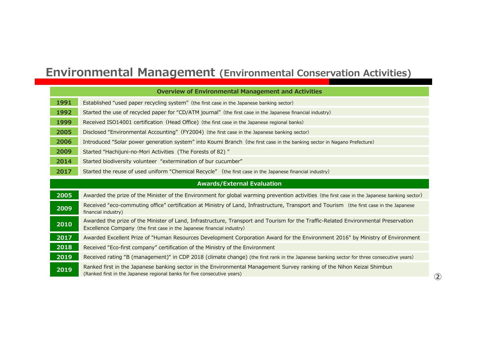## **Environmental Management (Environmental Conservation Activities)**

|      | <b>Overview of Environmental Management and Activities</b>                                                                                                                                                    |
|------|---------------------------------------------------------------------------------------------------------------------------------------------------------------------------------------------------------------|
| 1991 | Established "used paper recycling system" (the first case in the Japanese banking sector)                                                                                                                     |
| 1992 | Started the use of recycled paper for "CD/ATM journal" (the first case in the Japanese financial industry)                                                                                                    |
| 1999 | Received ISO14001 certification (Head Office) (the first case in the Japanese regional banks)                                                                                                                 |
| 2005 | Disclosed "Environmental Accounting" (FY2004) (the first case in the Japanese banking sector)                                                                                                                 |
| 2006 | Introduced "Solar power generation system" into Koumi Branch (the first case in the banking sector in Nagano Prefecture)                                                                                      |
| 2009 | Started "Hachijuni-no-Mori Activities (The Forests of 82)"                                                                                                                                                    |
| 2014 | Started biodiversity volunteer "extermination of bur cucumber"                                                                                                                                                |
| 2017 | Started the reuse of used uniform "Chemical Recycle" (the first case in the Japanese financial industry)                                                                                                      |
|      | <b>Awards/External Evaluation</b>                                                                                                                                                                             |
| 2005 | Awarded the prize of the Minister of the Environment for global warming prevention activities (the first case in the Japanese banking sector)                                                                 |
| 2009 | Received "eco-commuting office" certification at Ministry of Land, Infrastructure, Transport and Tourism (the first case in the Japanese<br>financial industry)                                               |
| 2010 | Awarded the prize of the Minister of Land, Infrastructure, Transport and Tourism for the Traffic-Related Environmental Preservation<br>Excellence Company (the first case in the Japanese financial industry) |
| 2017 | Awarded Excellent Prize of "Human Resources Development Corporation Award for the Environment 2016" by Ministry of Environment                                                                                |
| 2018 | Received "Eco-first company" certification of the Ministry of the Environment                                                                                                                                 |
| 2019 | Received rating "B (management)" in CDP 2018 (climate change) (the first rank in the Japanese banking sector for three consecutive years)                                                                     |
| 2019 | Ranked first in the Japanese banking sector in the Environmental Management Survey ranking of the Nihon Keizai Shimbun<br>(Ranked first in the Japanese regional banks for five consecutive years)            |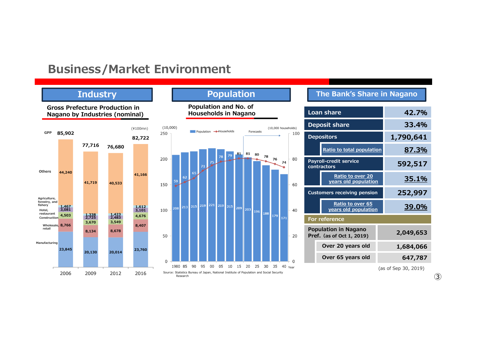### **Business/Market Environment**

### **Industry**

**Gross Prefecture Production in** 





### **The Bank's Share in Nagano**

| <b>Loan share</b>                                        |                                                 | 42.7%     |  |
|----------------------------------------------------------|-------------------------------------------------|-----------|--|
|                                                          | <b>Deposit share</b>                            | 33.4%     |  |
| <b>Depositors</b>                                        |                                                 | 1,790,641 |  |
|                                                          | Ratio to total population                       | 87.3%     |  |
| <b>Payroll-credit service</b><br>contractors             |                                                 | 592,517   |  |
|                                                          | Ratio to over 20<br>years old population        | 35.1%     |  |
| <b>Customers receiving pension</b>                       |                                                 | 252,997   |  |
|                                                          | <b>Ratio to over 65</b><br>years old population | 39.0%     |  |
| <b>For reference</b>                                     |                                                 |           |  |
| <b>Population in Nagano</b><br>Pref. (as of Oct 1, 2019) |                                                 | 2,049,653 |  |
|                                                          | Over 20 years old                               | 1,684,066 |  |
|                                                          | Over 65 years old                               | 647,787   |  |

<sup>(</sup>as of Sep 30, 2019)

**③**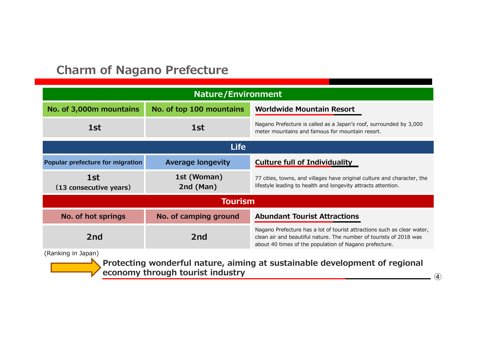## **Charm of Nagano Prefecture**

| <b>Nature/Environment</b>                                                                        |                          |                                                                                                                                                                                                         |  |
|--------------------------------------------------------------------------------------------------|--------------------------|---------------------------------------------------------------------------------------------------------------------------------------------------------------------------------------------------------|--|
| No. of 3,000m mountains                                                                          | No. of top 100 mountains | <b>Worldwide Mountain Resort</b>                                                                                                                                                                        |  |
| 1st                                                                                              | 1st                      | Nagano Prefecture is called as a Japan's roof, surrounded by 3,000<br>meter mountains and famous for mountain resort.                                                                                   |  |
| <b>Life</b>                                                                                      |                          |                                                                                                                                                                                                         |  |
| <b>Popular prefecture for migration</b>                                                          | <b>Average longevity</b> | <b>Culture full of Individuality</b>                                                                                                                                                                    |  |
| 1st<br>(13 consecutive years)                                                                    | 1st (Woman)<br>2nd (Man) | 77 cities, towns, and villages have original culture and character, the<br>lifestyle leading to health and longevity attracts attention.                                                                |  |
|                                                                                                  | <b>Tourism</b>           |                                                                                                                                                                                                         |  |
| No. of hot springs                                                                               | No. of camping ground    | <b>Abundant Tourist Attractions</b>                                                                                                                                                                     |  |
| 2 <sub>nd</sub>                                                                                  | 2 <sub>nd</sub>          | Nagano Prefecture has a lot of tourist attractions such as clear water,<br>clean air and beautiful nature. The number of tourists of 2018 was<br>about 40 times of the population of Nagano prefecture. |  |
| (Ranking in Japan)<br>Protecting wonderful nature, aiming at sustainable development of regional |                          |                                                                                                                                                                                                         |  |

**economy through tourist industry** 

**④**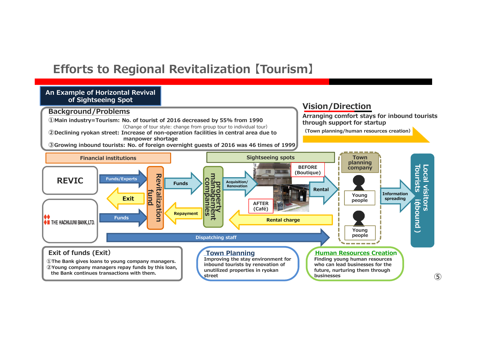## **Efforts to Regional Revitalization 【Tourism】**

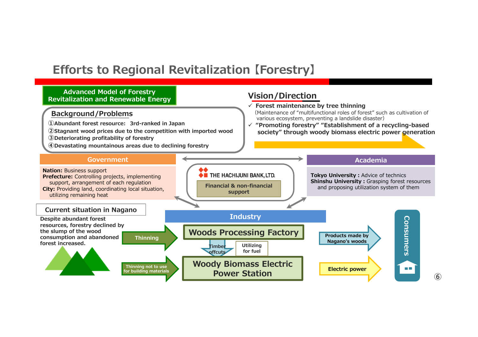## **Efforts to Regional Revitalization 【Forestry】**

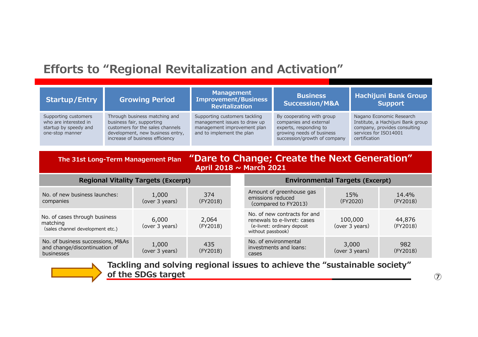## **Efforts to "Regional Revitalization and Activation"**

| <b>Startup/Entry</b>                                                                      | <b>Growing Period</b>                                                                                                                                                 | <b>Management</b><br><b>Improvement/Business</b><br><b>Revitalization</b>                                                 | <b>Business</b><br><b>Succession/M&amp;A</b>                                                                                               | <b>Hachijuni Bank Group</b><br><b>Support</b>                                                                                           |
|-------------------------------------------------------------------------------------------|-----------------------------------------------------------------------------------------------------------------------------------------------------------------------|---------------------------------------------------------------------------------------------------------------------------|--------------------------------------------------------------------------------------------------------------------------------------------|-----------------------------------------------------------------------------------------------------------------------------------------|
| Supporting customers<br>who are interested in<br>startup by speedy and<br>one-stop manner | Through business matching and<br>business fair, supporting<br>customers for the sales channels<br>development, new business entry,<br>increase of business efficiency | Supporting customers tackling<br>management issues to draw up<br>management improvement plan<br>and to implement the plan | By cooperating with group<br>companies and external<br>experts, responding to<br>growing needs of business<br>succession/growth of company | Nagano Economic Research<br>Institute, a Hachijuni Bank group<br>company, provides consulting<br>services for ISO14001<br>certification |

### **The 31st Long-Term Management Plan "Dare to Change; Create the Next Generation" April 2018 ~ March 2021**

| <b>Regional Vitality Targets (Excerpt)</b>                                       |                         |                   | <b>Environmental Targets (Excerpt)</b>                                                                                                                             |  |  |
|----------------------------------------------------------------------------------|-------------------------|-------------------|--------------------------------------------------------------------------------------------------------------------------------------------------------------------|--|--|
| No. of new business launches:<br>companies                                       | 1,000<br>(over 3 years) | 374<br>(FY2018)   | Amount of greenhouse gas<br>15%<br>14.4%<br>emissions reduced<br>(FY2020)<br>(FY2018)<br>(compared to FY2013)                                                      |  |  |
| No. of cases through business<br>matching<br>(sales channel development etc.)    | 6,000<br>(over 3 years) | 2,064<br>(FY2018) | No. of new contracts for and<br>44,876<br>100,000<br>renewals to e-livret: cases<br>(over 3 years)<br>(FY2018)<br>(e-livret: ordinary deposit<br>without passbook) |  |  |
| No. of business successions, M&As<br>and change/discontinuation of<br>businesses | 1,000<br>(over 3 years) | 435<br>(FY2018)   | No. of environmental<br>982<br>3,000<br>investments and loans:<br>(over 3 years)<br>(FY2018)<br>cases                                                              |  |  |



**Tackling and solving regional issues to achieve the "sustainable society" of the SDGs target**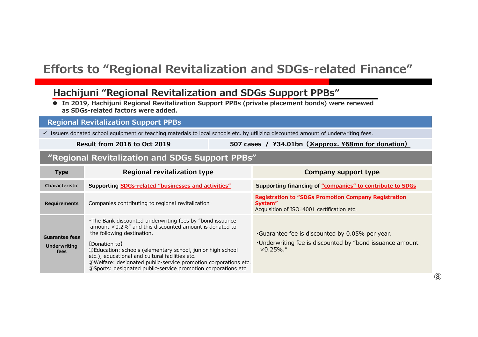## **Efforts to "Regional Revitalization and SDGs-related Finance"**

### **Hachijuni "Regional Revitalization and SDGs Support PPBs"**

 **● In 2019, Hachijuni Regional Revitalization Support PPBs (private placement bonds) were renewed as SDGs-related factors were added.**

### **Regional Revitalization Support PPBs**

 $\checkmark$  Issuers donated school equipment or teaching materials to local schools etc. by utilizing discounted amount of underwriting fees.

**Result from 2016 to Oct 2019 <sup>507</sup> cases / ¥34.01bn(※approx. ¥68mn for donation)**

### **"Regional Revitalization and SDGs Support PPBs"**

| <b>Type</b>                                          | Regional revitalization type                                                                                                                                                                                                                                                                                                                                                                                                           | Company support type                                                                                                                     |
|------------------------------------------------------|----------------------------------------------------------------------------------------------------------------------------------------------------------------------------------------------------------------------------------------------------------------------------------------------------------------------------------------------------------------------------------------------------------------------------------------|------------------------------------------------------------------------------------------------------------------------------------------|
| Characteristic                                       | <b>Supporting SDGs-related "businesses and activities"</b>                                                                                                                                                                                                                                                                                                                                                                             | Supporting financing of "companies" to contribute to SDGs                                                                                |
| Requirements                                         | Companies contributing to regional revitalization                                                                                                                                                                                                                                                                                                                                                                                      | <b>Registration to "SDGs Promotion Company Registration</b><br>System"<br>Acquisition of ISO14001 certification etc.                     |
| <b>Guarantee fees</b><br><b>Underwriting</b><br>fees | . The Bank discounted underwriting fees by "bond issuance"<br>amount $\times$ 0.2%" and this discounted amount is donated to<br>the following destination.<br>[Donation to]<br>10 Education: schools (elementary school, junior high school)<br>etc.), educational and cultural facilities etc.<br>2) Welfare: designated public-service promotion corporations etc.<br>3Sports: designated public-service promotion corporations etc. | $\cdot$ Guarantee fee is discounted by 0.05% per year.<br>. Underwriting fee is discounted by "bond issuance amount"<br>$\times$ 0.25%." |